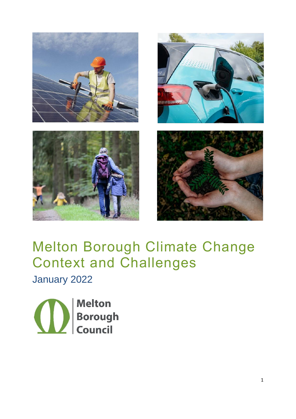







# Melton Borough Climate Change Context and Challenges

January 2022

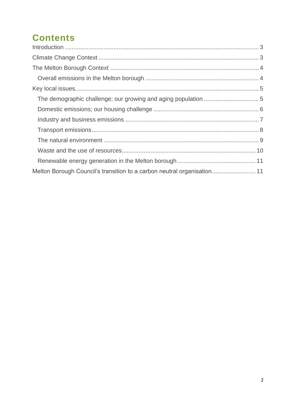# **Contents**

| Melton Borough Council's transition to a carbon neutral organisation 11 |  |
|-------------------------------------------------------------------------|--|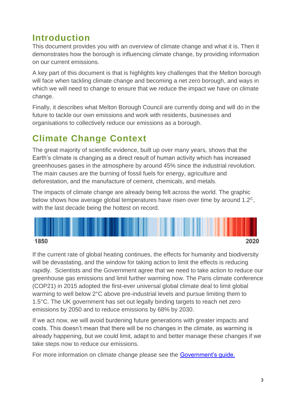# <span id="page-2-0"></span>**Introduction**

This document provides you with an overview of climate change and what it is. Then it demonstrates how the borough is influencing climate change, by providing information on our current emissions.

A key part of this document is that is highlights key challenges that the Melton borough will face when tackling climate change and becoming a net zero borough, and ways in which we will need to change to ensure that we reduce the impact we have on climate change.

Finally, it describes what Melton Borough Council are currently doing and will do in the future to tackle our own emissions and work with residents, businesses and organisations to collectively reduce our emissions as a borough.

# <span id="page-2-1"></span>**Climate Change Context**

The great majority of scientific evidence, built up over many years, shows that the Earth's climate is changing as a direct result of human activity which has increased greenhouses gases in the atmosphere by around 45% since the industrial revolution. The main causes are the burning of fossil fuels for energy, agriculture and deforestation, and the manufacture of cement, chemicals, and metals.

The impacts of climate change are already being felt across the world. The graphic below shows how average global temperatures have risen over time by around 1.2<sup>C</sup>, with the last decade being the hottest on record.



If the current rate of global heating continues, the effects for humanity and biodiversity will be devastating, and the window for taking action to limit the effects is reducing rapidly. Scientists and the Government agree that we need to take action to reduce our greenhouse gas emissions and limit further warming now. The Paris climate conference (COP21) in 2015 adopted the first-ever universal global climate deal to limit global warming to well below 2°C above pre-industrial levels and pursue limiting them to 1.5°C. The UK government has set out legally binding targets to reach net zero emissions by 2050 and to reduce emissions by 68% by 2030.

If we act now, we will avoid burdening future generations with greater impacts and costs. This doesn't mean that there will be no changes in the climate, as warming is already happening, but we could limit, adapt to and better manage these changes if we take steps now to reduce our emissions.

For more information on climate change please see the [Government's guide.](https://www.gov.uk/guidance/climate-change-explained)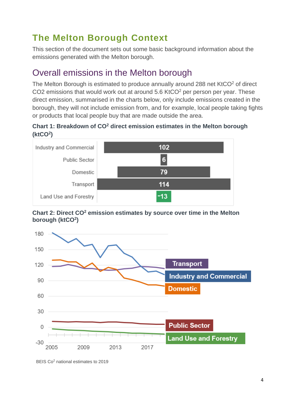# <span id="page-3-0"></span>**The Melton Borough Context**

This section of the document sets out some basic background information about the emissions generated with the Melton borough.

#### <span id="page-3-1"></span>Overall emissions in the Melton borough

The Melton Borough is estimated to produce annually around 288 net KtCO<sup>2</sup> of direct CO2 emissions that would work out at around 5.6 KtCO<sup>2</sup> per person per year. These direct emission, summarised in the charts below, only include emissions created in the borough, they will not include emission from, and for example, local people taking fights or products that local people buy that are made outside the area.

#### **Chart 1: Breakdown of CO<sup>2</sup> direct emission estimates in the Melton borough (ktCO<sup>2</sup> )**



**Chart 2: Direct CO<sup>2</sup> emission estimates by source over time in the Melton borough (ktCO<sup>2</sup> )**



BEIS Co<sup>2</sup> [national estimates to 2019](https://www.gov.uk/government/collections/uk-local-authority-and-regional-carbon-dioxide-emissions-national-statistics)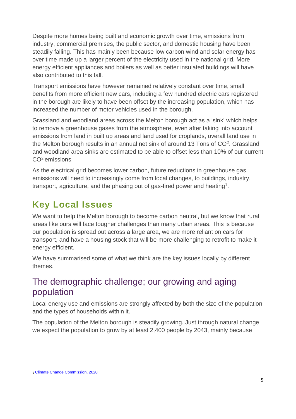Despite more homes being built and economic growth over time, emissions from industry, commercial premises, the public sector, and domestic housing have been steadily falling. This has mainly been because low carbon wind and solar energy has over time made up a larger percent of the electricity used in the national grid. More energy efficient appliances and boilers as well as better insulated buildings will have also contributed to this fall.

Transport emissions have however remained relatively constant over time, small benefits from more efficient new cars, including a few hundred electric cars registered in the borough are likely to have been offset by the increasing population, which has increased the number of motor vehicles used in the borough.

Grassland and woodland areas across the Melton borough act as a 'sink' which helps to remove a greenhouse gases from the atmosphere, even after taking into account emissions from land in built up areas and land used for croplands, overall land use in the Melton borough results in an annual net sink of around 13 Tons of  $CO<sup>2</sup>$ . Grassland and woodland area sinks are estimated to be able to offset less than 10% of our current CO<sup>2</sup> emissions.

As the electrical grid becomes lower carbon, future reductions in greenhouse gas emissions will need to increasingly come from local changes, to buildings, industry, transport, agriculture, and the phasing out of gas-fired power and heating<sup>1</sup>.

## <span id="page-4-0"></span>**Key Local Issues**

We want to help the Melton borough to become carbon neutral, but we know that rural areas like ours will face tougher challenges than many urban areas. This is because our population is spread out across a large area, we are more reliant on cars for transport, and have a housing stock that will be more challenging to retrofit to make it energy efficient.

We have summarised some of what we think are the key issues locally by different themes.

#### <span id="page-4-1"></span>The demographic challenge; our growing and aging population

Local energy use and emissions are strongly affected by both the size of the population and the types of households within it.

The population of the Melton borough is steadily growing. Just through natural change we expect the population to grow by at least 2,400 people by 2043, mainly because

<sup>1</sup> [Climate Change Commission, 2020](https://www.theccc.org.uk/publication/sixth-carbon-budget/)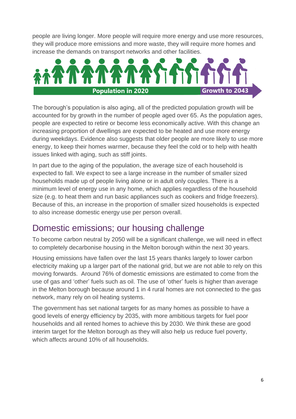people are living longer. More people will require more energy and use more resources, they will produce more emissions and more waste, they will require more homes and increase the demands on transport networks and other facilities.



The borough's population is also aging, all of the predicted population growth will be accounted for by growth in the number of people aged over 65. As the population ages, people are expected to retire or become less economically active. With this change an increasing proportion of dwellings are expected to be heated and use more energy during weekdays. Evidence also suggests that older people are more likely to use more energy, to keep their homes warmer, because they feel the cold or to help with health issues linked with aging, such as stiff joints.

In part due to the aging of the population, the average size of each household is expected to fall. We expect to see a large increase in the number of smaller sized households made up of people living alone or in adult only couples. There is a minimum level of energy use in any home, which applies regardless of the household size (e.g. to heat them and run basic appliances such as cookers and fridge freezers). Because of this, an increase in the proportion of smaller sized households is expected to also increase domestic energy use per person overall.

#### <span id="page-5-0"></span>Domestic emissions; our housing challenge

To become carbon neutral by 2050 will be a significant challenge, we will need in effect to completely decarbonise housing in the Melton borough within the next 30 years.

Housing emissions have fallen over the last 15 years thanks largely to lower carbon electricity making up a larger part of the national grid, but we are not able to rely on this moving forwards. Around 76% of domestic emissions are estimated to come from the use of gas and 'other' fuels such as oil. The use of 'other' fuels is higher than average in the Melton borough because around 1 in 4 rural homes are not connected to the gas network, many rely on oil heating systems.

The government has set national targets for as many homes as possible to have a good levels of energy efficiency by 2035, with more ambitious targets for fuel poor households and all rented homes to achieve this by 2030. We think these are good interim target for the Melton borough as they will also help us reduce fuel poverty, which affects around 10% of all households.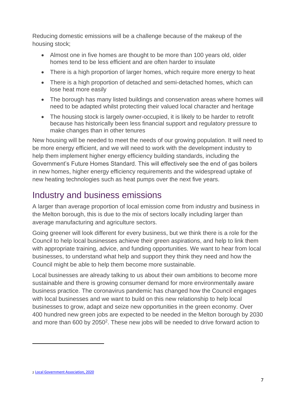Reducing domestic emissions will be a challenge because of the makeup of the housing stock;

- Almost one in five homes are thought to be more than 100 years old, older homes tend to be less efficient and are often harder to insulate
- There is a high proportion of larger homes, which require more energy to heat
- There is a high proportion of detached and semi-detached homes, which can lose heat more easily
- The borough has many listed buildings and conservation areas where homes will need to be adapted whilst protecting their valued local character and heritage
- The housing stock is largely owner-occupied, it is likely to be harder to retrofit because has historically been less financial support and regulatory pressure to make changes than in other tenures

New housing will be needed to meet the needs of our growing population. It will need to be more energy efficient, and we will need to work with the development industry to help them implement higher energy efficiency building standards, including the Government's Future Homes Standard. This will effectively see the end of gas boilers in new homes, higher energy efficiency requirements and the widespread uptake of new heating technologies such as heat pumps over the next five years.

#### <span id="page-6-0"></span>Industry and business emissions

A larger than average proportion of local emission come from industry and business in the Melton borough, this is due to the mix of sectors locally including larger than average manufacturing and agriculture sectors.

Going greener will look different for every business, but we think there is a role for the Council to help local businesses achieve their green aspirations, and help to link them with appropriate training, advice, and funding opportunities. We want to hear from local businesses, to understand what help and support they think they need and how the Council might be able to help them become more sustainable.

Local businesses are already talking to us about their own ambitions to become more sustainable and there is growing consumer demand for more environmentally aware business practice. The coronavirus pandemic has changed how the Council engages with local businesses and we want to build on this new relationship to help local businesses to grow, adapt and seize new opportunities in the green economy. Over 400 hundred new green jobs are expected to be needed in the Melton borough by 2030 and more than 600 by 2050<sup>2</sup>. These new jobs will be needed to drive forward action to

<sup>2</sup> [Local Government Association, 2020](https://www.local.gov.uk/local-green-jobs-accelerating-sustainable-economic-recovery)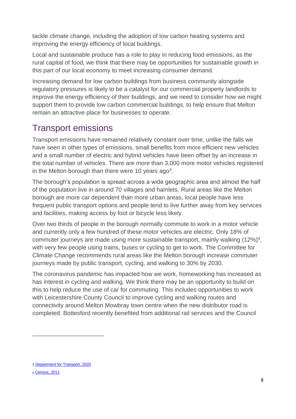tackle climate change, including the adoption of low carbon heating systems and improving the energy efficiency of local buildings.

Local and sustainable produce has a role to play in reducing food emissions, as the rural capital of food, we think that there may be opportunities for sustainable growth in this part of our local economy to meet increasing consumer demand.

Increasing demand for low carbon buildings from business community alongside regulatory pressures is likely to be a catalyst for our commercial property landlords to improve the energy efficiency of their buildings, and we need to consider how we might support them to provide low carbon commercial buildings, to help ensure that Melton remain an attractive place for businesses to operate.

#### <span id="page-7-0"></span>Transport emissions

Transport emissions have remained relatively constant over time, unlike the falls we have seen in other types of emissions, small benefits from more efficient new vehicles and a small number of electric and hybrid vehicles have been offset by an increase in the total number of vehicles. There are more than 3,000 more motor vehicles registered in the Melton borough than there were 10 years ago<sup>3</sup>.

The borough's population is spread across a wide geographic area and almost the half of the population live in around 70 villages and hamlets. Rural areas like the Melton borough are more car dependent than more urban areas, local people have less frequent public transport options and people tend to live further away from key services and facilities, making access by foot or bicycle less likely.

Over two thirds of people in the borough normally commute to work in a motor vehicle and currently only a few hundred of these motor vehicles are electric. Only 18% of commuter journeys are made using more sustainable transport, mainly walking (12%)<sup>4</sup>, with very few people using trains, buses or cycling to get to work. The Committee for Climate Change recommends rural areas like the Melton borough increase commuter journeys made by public transport, cycling, and walking to 30% by 2030.

The coronavirus pandemic has impacted how we work, homeworking has increased as has interest in cycling and walking. We think there may be an opportunity to build on this to help reduce the use of car for commuting. This includes opportunities to work with Leicestershire County Council to improve cycling and walking routes and connectivity around Melton Mowbray town centre when the new distributor road is completed. Bottesford recently benefited from additional rail services and the Council

<sup>3</sup> [Department for Transport, 2020](https://www.gov.uk/government/collections/vehicles-statistics)

<sup>4</sup> [Census, 2011](https://www.ons.gov.uk/census/2011census)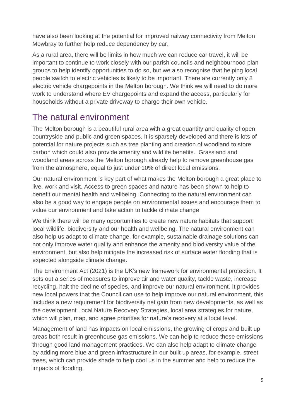have also been looking at the potential for improved railway connectivity from Melton Mowbray to further help reduce dependency by car.

As a rural area, there will be limits in how much we can reduce car travel, it will be important to continue to work closely with our parish councils and neighbourhood plan groups to help identify opportunities to do so, but we also recognise that helping local people switch to electric vehicles is likely to be important. There are currently only 8 electric vehicle chargepoints in the Melton borough. We think we will need to do more work to understand where EV chargepoints and expand the access, particularly for households without a private driveway to charge their own vehicle.

#### <span id="page-8-0"></span>The natural environment

The Melton borough is a beautiful rural area with a great quantity and quality of open countryside and public and green spaces. It is sparsely developed and there is lots of potential for nature projects such as tree planting and creation of woodland to store carbon which could also provide amenity and wildlife benefits. Grassland and woodland areas across the Melton borough already help to remove greenhouse gas from the atmosphere, equal to just under 10% of direct local emissions.

Our natural environment is key part of what makes the Melton borough a great place to live, work and visit. Access to green spaces and nature has been shown to help to benefit our mental health and wellbeing. Connecting to the natural environment can also be a good way to engage people on environmental issues and encourage them to value our environment and take action to tackle climate change.

We think there will be many opportunities to create new nature habitats that support local wildlife, biodiversity and our health and wellbeing. The natural environment can also help us adapt to climate change, for example, sustainable drainage solutions can not only improve water quality and enhance the amenity and biodiversity value of the environment, but also help mitigate the increased risk of surface water flooding that is expected alongside climate change.

The Environment Act (2021) is the UK's new framework for environmental protection. It sets out a series of measures to improve air and water quality, tackle waste, increase recycling, halt the decline of species, and improve our natural environment. It provides new local powers that the Council can use to help improve our natural environment, this includes a new requirement for biodiversity net gain from new developments, as well as the development Local Nature Recovery Strategies, local area strategies for nature, which will plan, map, and agree priorities for nature's recovery at a local level.

Management of land has impacts on local emissions, the growing of crops and built up areas both result in greenhouse gas emissions. We can help to reduce these emissions through good land management practices. We can also help adapt to climate change by adding more blue and green infrastructure in our built up areas, for example, street trees, which can provide shade to help cool us in the summer and help to reduce the impacts of flooding.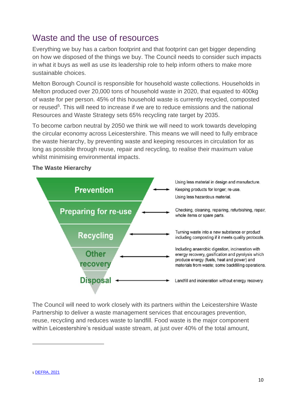## <span id="page-9-0"></span>Waste and the use of resources

Everything we buy has a carbon footprint and that footprint can get bigger depending on how we disposed of the things we buy. The Council needs to consider such impacts in what it buys as well as use its leadership role to help inform others to make more sustainable choices.

Melton Borough Council is responsible for household waste collections. Households in Melton produced over 20,000 tons of household waste in 2020, that equated to 400kg of waste for per person. 45% of this household waste is currently recycled, composted or reused<sup>5</sup>. This will need to increase if we are to reduce emissions and the national Resources and Waste Strategy sets 65% recycling rate target by 2035.

To become carbon neutral by 2050 we think we will need to work towards developing the circular economy across Leicestershire. This means we will need to fully embrace the waste hierarchy, by preventing waste and keeping resources in circulation for as long as possible through reuse, repair and recycling, to realise their maximum value whilst minimising environmental impacts.



#### **The Waste Hierarchy**

The Council will need to work closely with its partners within the Leicestershire Waste Partnership to deliver a waste management services that encourages prevention, reuse, recycling and reduces waste to landfill. Food waste is the major component within Leicestershire's residual waste stream, at just over 40% of the total amount,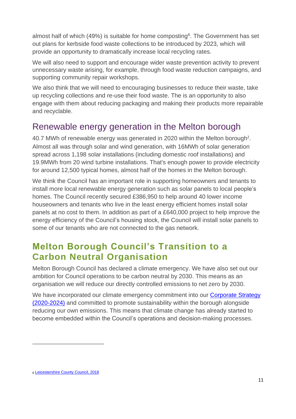almost half of which (49%) is suitable for home composting<sup>6</sup>. The Government has set out plans for kerbside food waste collections to be introduced by 2023, which will provide an opportunity to dramatically increase local recycling rates.

We will also need to support and encourage wider waste prevention activity to prevent unnecessary waste arising, for example, through food waste reduction campaigns, and supporting community repair workshops.

We also think that we will need to encouraging businesses to reduce their waste, take up recycling collections and re-use their food waste. The is an opportunity to also engage with them about reducing packaging and making their products more repairable and recyclable.

#### <span id="page-10-0"></span>Renewable energy generation in the Melton borough

40.7 MWh of renewable energy was generated in [2](file://///mm-pr-file01/Info/20%20Planning%20&%20Building%20Control/Climate%20Emergency%20&%20Working%20Group/Climate%20Change%20Strategy/Statement%20of%20Intent/Regional%20Renewable%20Statistics%20-%20GOV.UK%20(www.gov.uk))020 within the Melton borough<sup>2</sup>. Almost all was through solar and wind generation, with 16MWh of solar generation spread across 1,198 solar installations (including domestic roof installations) and 19.9MWh from 20 wind turbine installations. That's enough power to provide electricity for around 12,500 typical homes, almost half of the homes in the Melton borough.

We think the Council has an important role in supporting homeowners and tenants to install more local renewable energy generation such as solar panels to local people's homes. The Council recently secured £386,950 to help around 40 lower income houseowners and tenants who live in the least energy efficient homes install solar panels at no cost to them. In addition as part of a £640,000 project to help improve the energy efficiency of the Council's housing stock, the Council will install solar panels to some of our tenants who are not connected to the gas network.

## <span id="page-10-1"></span>**Melton Borough Council's Transition to a Carbon Neutral Organisation**

Melton Borough Council has declared a climate emergency. We have also set out our ambition for Council operations to be carbon neutral by 2030. This means as an organisation we will reduce our directly controlled emissions to net zero by 2030.

We have incorporated our climate emergency commitment into our Corporate Strategy [\(2020-2024\)](https://www.melton.gov.uk/media/gq0lpilx/melton-borough-council-corporate-strategy-2020-to-2024.pdf) and committed to promote sustainability within the borough alongside reducing our own emissions. This means that climate change has already started to become embedded within the Council's operations and decision-making processes.

<sup>6</sup> [Leicestershire County Council, 2018](chrome-extension://efaidnbmnnnibpcajpcglclefindmkaj/viewer.html?pdfurl=https%3A%2F%2Fwww.leicestershire.gov.uk%2Fsites%2Fdefault%2Ffiles%2Ffield%2Fpdf%2F2020%2F2%2F17%2FLCC-Waste-Disposal-Authority-Plan.pdf&clen=2231986&chunk=true)